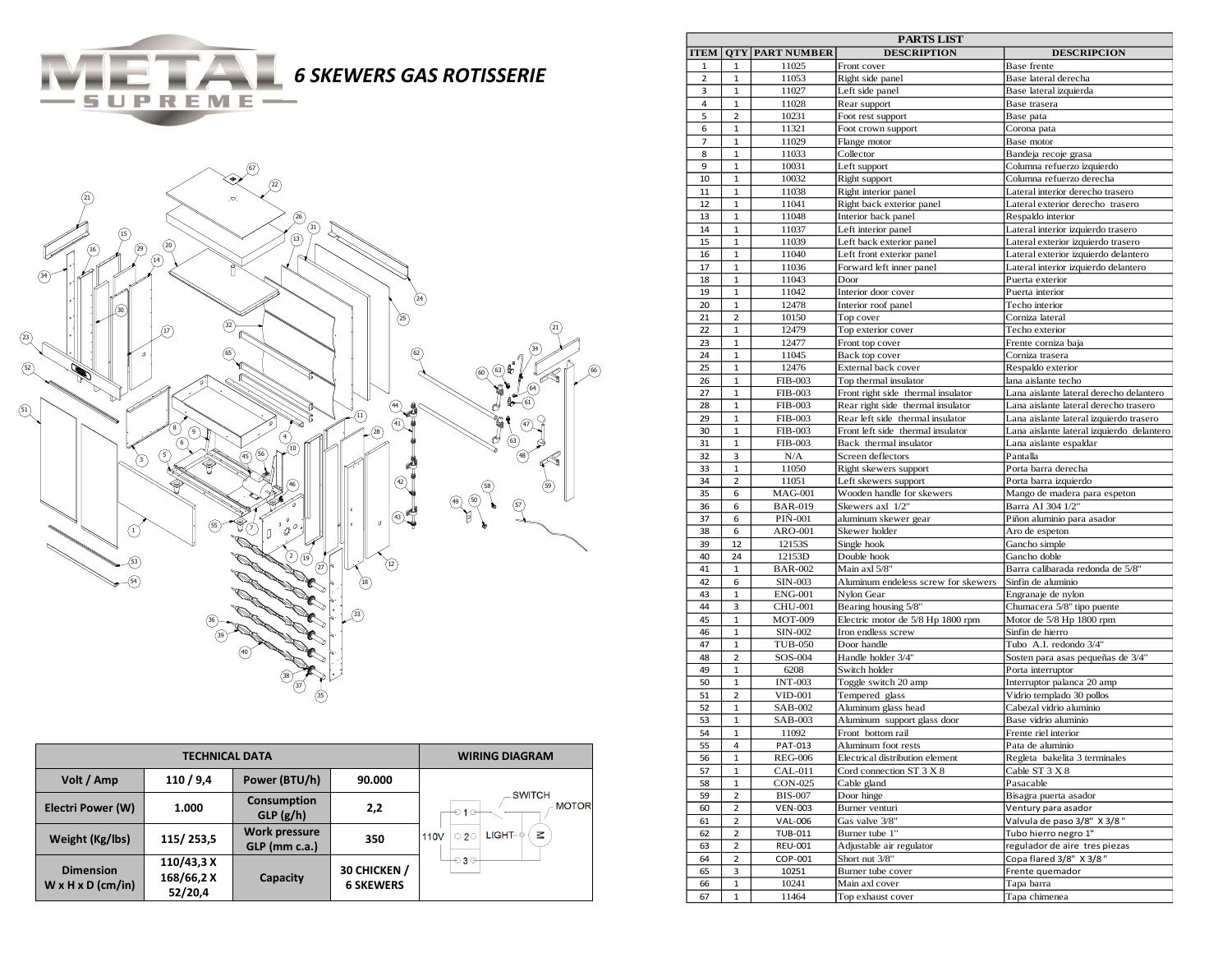*SKEWERS GAS ROTISSERIE* 



SUPREME-

|                                                   | <b>WIRING DIAGRAM</b>               |                                       |                                  |                                                     |
|---------------------------------------------------|-------------------------------------|---------------------------------------|----------------------------------|-----------------------------------------------------|
| Volt / Amp                                        | 110/9,4                             | Power (BTU/h)                         | 90.000                           |                                                     |
| Electri Power (W)                                 | 1.000                               | <b>Consumption</b><br>GLP(g/h)        | 2,2                              | <b>SWITCH</b><br><b>MOTOR</b><br>$-010$             |
| Weight (Kg/lbs)                                   | 115/253,5                           | <b>Work pressure</b><br>GLP (mm c.a.) | 350                              | $\leq$<br>LIGHT–©<br>$\circ$ 20<br>110 <sub>V</sub> |
| <b>Dimension</b><br>$W \times H \times D$ (cm/in) | 110/43,3 X<br>168/66,2 X<br>52/20,4 | Capacity                              | 30 CHICKEN /<br><b>6 SKEWERS</b> | $\odot$ 3 $\odot$                                   |

| <b>PARTS LIST</b>       |                         |                           |                                                  |                                                        |  |  |
|-------------------------|-------------------------|---------------------------|--------------------------------------------------|--------------------------------------------------------|--|--|
| <b>ITEM</b>             |                         | <b>OTY PART NUMBER</b>    | <b>DESCRIPTION</b>                               | <b>DESCRIPCION</b>                                     |  |  |
| 1                       | 1                       | 11025                     | Front cover                                      | Base frente                                            |  |  |
| $\overline{\mathbf{2}}$ | $\mathbf{1}$            | 11053                     | Right side panel                                 | Base lateral derecha                                   |  |  |
| 3                       | 1                       | 11027                     | Left side panel                                  | Base lateral izquierda                                 |  |  |
| $\overline{4}$          | 1                       | 11028                     | Rear support                                     | Base trasera                                           |  |  |
| 5                       | $\overline{2}$          | 10231                     | Foot rest support                                | Base pata                                              |  |  |
| 6                       | $\mathbf{1}$            | 11321                     | Foot crown support                               | Corona pata                                            |  |  |
| 7                       | $\mathbf{1}$            | 11029                     | Flange motor                                     | Base motor                                             |  |  |
| 8<br>9                  | 1<br>$\mathbf{1}$       | 11033<br>10031            | Collector                                        | Bandeja recoje grasa                                   |  |  |
| 10                      | $\mathbf 1$             |                           | Left support                                     | Columna refuerzo izquierdo<br>Columna refuerzo derecha |  |  |
| 11                      | 1                       | 10032<br>11038            | Right support<br>Right interior panel            | Lateral interior derecho trasero                       |  |  |
| 12                      | 1                       | 11041                     |                                                  | Lateral exterior derecho trasero                       |  |  |
| 13                      | $\mathbf 1$             | 11048                     | Right back exterior panel<br>Interior back panel | Respaldo interior                                      |  |  |
| 14                      | 1                       | 11037                     | Left interior panel                              | Lateral interior izquierdo trasero                     |  |  |
| 15                      | $\mathbf{1}$            | 11039                     | Left back exterior panel                         | Lateral exterior izquierdo trasero                     |  |  |
| 16                      | $\mathbf{1}$            | 11040                     | Left front exterior panel                        | Lateral exterior izquierdo delantero                   |  |  |
| 17                      | $\mathbf{1}$            | 11036                     | Forward left inner panel                         | Lateral interior izquierdo delantero                   |  |  |
| 18                      | 1                       | 11043                     | Door                                             | Puerta exterior                                        |  |  |
| 19                      | $\mathbf{1}$            | 11042                     | Interior door cover                              | Puerta interior                                        |  |  |
| 20                      | $\mathbf{1}$            | 12478                     | Interior roof panel                              | Techo interior                                         |  |  |
| 21                      | 2                       | 10150                     | Top cover                                        | Corniza lateral                                        |  |  |
| 22                      | 1                       | 12479                     | Top exterior cover                               | Techo exterior                                         |  |  |
| 23                      | $\mathbf 1$             | 12477                     | Front top cover                                  | Frente corniza baja                                    |  |  |
| 24                      | 1                       | 11045                     | Back top cover                                   | Corniza trasera                                        |  |  |
| 25                      | $\mathbf{1}$            | 12476                     | External back cover                              | Respaldo exterior                                      |  |  |
| 26                      | 1                       | <b>FIB-003</b>            | Top thermal insulator                            | lana aislante techo                                    |  |  |
| 27                      | 1                       | <b>FIB-003</b>            | Front right side thermal insulator               | Lana aislante lateral derecho delantero                |  |  |
| 28                      | $\mathbf{1}$            | <b>FIB-003</b>            | Rear right side thermal insulator                | Lana aislante lateral derecho trasero                  |  |  |
| 29                      | 1                       | <b>FIB-003</b>            | Rear left side thermal insulator                 | Lana aislante lateral izquierdo trasero                |  |  |
| 30                      | $\mathbf{1}$            | <b>FIB-003</b>            | Front left side thermal insulator                | Lana aislante lateral izquierdo delantero              |  |  |
| 31                      | 1                       | <b>FIB-003</b>            | Back thermal insulator                           | Lana aislante espaldar                                 |  |  |
| 32                      | 3                       | N/A                       | Screen deflectors                                | Pantalla                                               |  |  |
| 33                      | $\mathbf 1$             | 11050                     | Right skewers support                            | Porta barra derecha                                    |  |  |
| 34                      | 2                       | 11051                     | Left skewers support                             | Porta barra izquierdo                                  |  |  |
| 35                      | 6                       | <b>MAG-001</b>            | Wooden handle for skewers                        | Mango de madera para espeton                           |  |  |
| 36                      | 6                       | <b>BAR-019</b>            | Skewers axl 1/2"                                 | Barra AI 304 1/2"                                      |  |  |
| 37                      | 6                       | <b>PIN-001</b>            | aluminum skewer gear                             | Piñon aluminio para asador                             |  |  |
| 38                      | 6                       | ARO-001                   | Skewer holder                                    | Aro de espeton                                         |  |  |
| 39                      | 12                      | 12153S                    | Single hook                                      | Gancho simple                                          |  |  |
| 40                      | 24                      | 12153D                    | Double hook                                      | Gancho doble                                           |  |  |
| 41                      | 1                       | <b>BAR-002</b>            | Main axl 5/8"                                    | Barra calibarada redonda de 5/8"                       |  |  |
| 42                      | 6                       | <b>SIN-003</b>            | Aluminum endeless screw for skewers              | Sinfin de aluminio                                     |  |  |
| 43                      | $\mathbf{1}$            | <b>ENG-001</b>            | Nylon Gear                                       | Engranaje de nylon                                     |  |  |
| 44                      | 3                       | <b>CHU-001</b>            | Bearing housing 5/8"                             | Chumacera 5/8" tipo puente                             |  |  |
| 45                      | $\mathbf{1}$            | <b>MOT-009</b>            | Electric motor de 5/8 Hp 1800 rpm                | Motor de 5/8 Hp 1800 rpm                               |  |  |
| 46                      | 1                       | SIN-002                   | Iron endless screw                               | Sinfin de hierro                                       |  |  |
| 47                      | 1                       | <b>TUB-050</b>            | Door handle                                      | Tubo A.I. redondo 3/4"                                 |  |  |
| 48                      | $\overline{2}$          | SOS-004                   | Handle holder 3/4"                               | Sosten para asas pequeñas de 3/4"                      |  |  |
| 49                      | 1                       | 6208                      | Switch holder                                    | Porta interruptor                                      |  |  |
| 50                      | 1                       | <b>INT-003</b>            | Toggle switch 20 amp                             | Interruptor palanca 20 amp                             |  |  |
| 51                      | 2                       | <b>VID-001</b>            | Tempered glass                                   | Vidrio templado 30 pollos                              |  |  |
| 52                      | $\mathbf{1}$            | SAB-002                   | Aluminum glass head                              | Cabezal vidrio aluminio                                |  |  |
| 53                      | 1                       | SAB-003                   | Aluminum support glass door                      | Base vidrio aluminio                                   |  |  |
| 54                      | $\mathbf{1}$            | 11092                     | Front bottom rail                                | Frente riel interior                                   |  |  |
| 55                      | 4                       | PAT-013                   | Aluminum foot rests                              | Pata de aluminio                                       |  |  |
| 56                      | $\mathbf 1$             | <b>REG-006</b>            | Electrical distribution element                  | Regleta bakelita 3 terminales                          |  |  |
| 57                      | $\mathbf{1}$            | <b>CAL-011</b>            | Cord connection ST 3 X 8                         | Cable ST 3 X 8                                         |  |  |
| 58                      | $\mathbf 1$             | CON-025                   | Cable gland                                      | Pasacable                                              |  |  |
| 59                      | $\overline{\mathbf{c}}$ | <b>BIS-007</b>            | Door hinge                                       | Bisagra puerta asador                                  |  |  |
| 60                      | 2                       | <b>VEN-003</b>            | Burner venturi<br>Gas valve 3/8"                 | Ventury para asador                                    |  |  |
| 61                      | 2<br>$\mathbf 2$        | <b>VAL-006</b>            |                                                  | Valvula de paso 3/8" X 3/8"<br>Tubo hierro negro 1"    |  |  |
| 62                      |                         | <b>TUB-011</b>            | Burner tube 1"<br>Adjustable air regulator       | regulador de aire tres piezas                          |  |  |
| 63                      | 2                       | <b>REU-001</b><br>COP-001 | Short nut 3/8"                                   | Copa flared 3/8" X 3/8"                                |  |  |
| 64<br>65                | 2<br>3                  | 10251                     | Burner tube cover                                | Frente quemador                                        |  |  |
|                         | $\mathbf 1$             | 10241                     | Main axl cover                                   | Tapa barra                                             |  |  |
| 66<br>67                | 1                       | 11464                     | Top exhaust cover                                | Tapa chimenea                                          |  |  |
|                         |                         |                           |                                                  |                                                        |  |  |